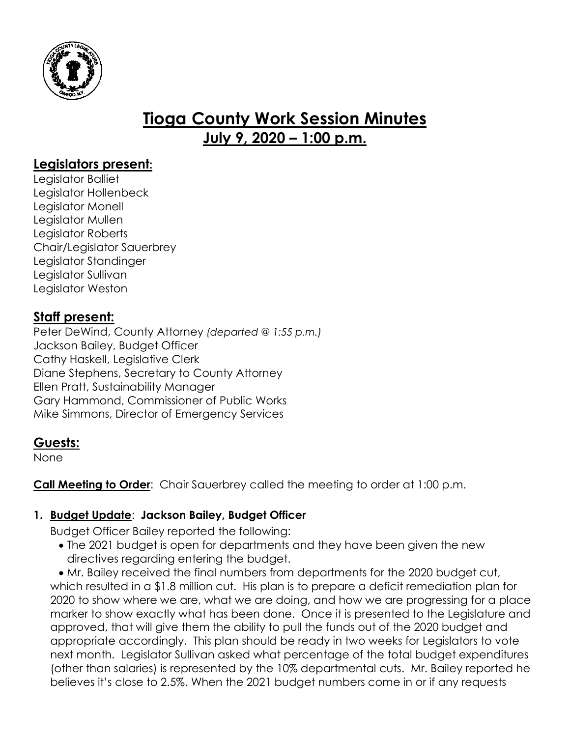

# **Tioga County Work Session Minutes July 9, 2020 – 1:00 p.m.**

# **Legislators present:**

Legislator Balliet Legislator Hollenbeck Legislator Monell Legislator Mullen Legislator Roberts Chair/Legislator Sauerbrey Legislator Standinger Legislator Sullivan Legislator Weston

# **Staff present:**

Peter DeWind, County Attorney *(departed @ 1:55 p.m.)* Jackson Bailey, Budget Officer Cathy Haskell, Legislative Clerk Diane Stephens, Secretary to County Attorney Ellen Pratt, Sustainability Manager Gary Hammond, Commissioner of Public Works Mike Simmons, Director of Emergency Services

# **Guests:**

None

**Call Meeting to Order:** Chair Sauerbrey called the meeting to order at 1:00 p.m.

# **1. Budget Update**: **Jackson Bailey, Budget Officer**

Budget Officer Bailey reported the following:

• The 2021 budget is open for departments and they have been given the new directives regarding entering the budget.

 Mr. Bailey received the final numbers from departments for the 2020 budget cut, which resulted in a \$1.8 million cut. His plan is to prepare a deficit remediation plan for 2020 to show where we are, what we are doing, and how we are progressing for a place marker to show exactly what has been done. Once it is presented to the Legislature and approved, that will give them the ability to pull the funds out of the 2020 budget and appropriate accordingly. This plan should be ready in two weeks for Legislators to vote next month. Legislator Sullivan asked what percentage of the total budget expenditures (other than salaries) is represented by the 10% departmental cuts. Mr. Bailey reported he believes it's close to 2.5%. When the 2021 budget numbers come in or if any requests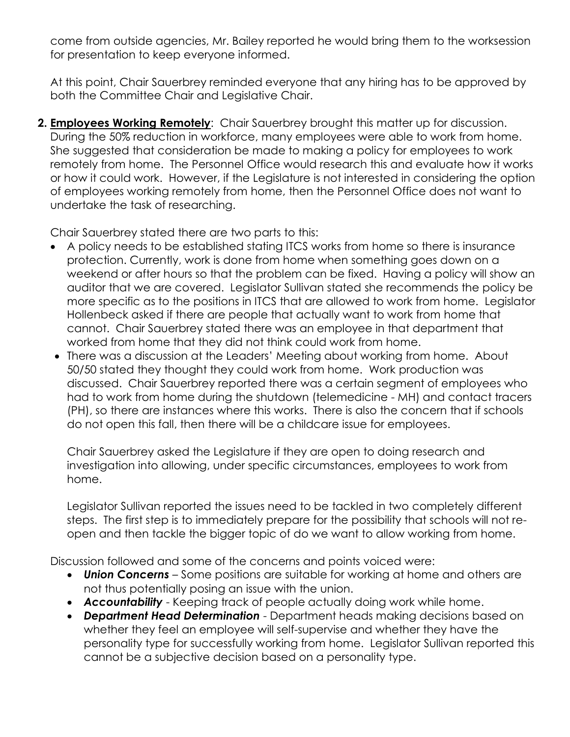come from outside agencies, Mr. Bailey reported he would bring them to the worksession for presentation to keep everyone informed.

At this point, Chair Sauerbrey reminded everyone that any hiring has to be approved by both the Committee Chair and Legislative Chair.

**2. Employees Working Remotely**: Chair Sauerbrey brought this matter up for discussion. During the 50% reduction in workforce, many employees were able to work from home. She suggested that consideration be made to making a policy for employees to work remotely from home. The Personnel Office would research this and evaluate how it works or how it could work. However, if the Legislature is not interested in considering the option of employees working remotely from home, then the Personnel Office does not want to undertake the task of researching.

Chair Sauerbrey stated there are two parts to this:

- A policy needs to be established stating ITCS works from home so there is insurance protection. Currently, work is done from home when something goes down on a weekend or after hours so that the problem can be fixed. Having a policy will show an auditor that we are covered. Legislator Sullivan stated she recommends the policy be more specific as to the positions in ITCS that are allowed to work from home. Legislator Hollenbeck asked if there are people that actually want to work from home that cannot. Chair Sauerbrey stated there was an employee in that department that worked from home that they did not think could work from home.
- There was a discussion at the Leaders' Meeting about working from home. About 50/50 stated they thought they could work from home. Work production was discussed. Chair Sauerbrey reported there was a certain segment of employees who had to work from home during the shutdown (telemedicine - MH) and contact tracers (PH), so there are instances where this works. There is also the concern that if schools do not open this fall, then there will be a childcare issue for employees.

Chair Sauerbrey asked the Legislature if they are open to doing research and investigation into allowing, under specific circumstances, employees to work from home.

Legislator Sullivan reported the issues need to be tackled in two completely different steps. The first step is to immediately prepare for the possibility that schools will not reopen and then tackle the bigger topic of do we want to allow working from home.

Discussion followed and some of the concerns and points voiced were:

- *Union Concerns* Some positions are suitable for working at home and others are not thus potentially posing an issue with the union.
- *Accountability* Keeping track of people actually doing work while home.
- *Department Head Determination* Department heads making decisions based on whether they feel an employee will self-supervise and whether they have the personality type for successfully working from home. Legislator Sullivan reported this cannot be a subjective decision based on a personality type.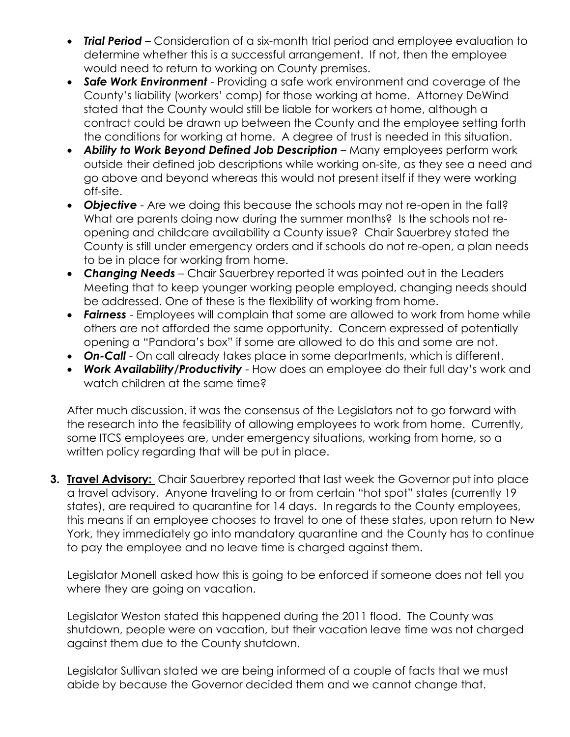- *Trial Period* Consideration of a six-month trial period and employee evaluation to determine whether this is a successful arrangement. If not, then the employee would need to return to working on County premises.
- *Safe Work Environment* Providing a safe work environment and coverage of the County's liability (workers' comp) for those working at home. Attorney DeWind stated that the County would still be liable for workers at home, although a contract could be drawn up between the County and the employee setting forth the conditions for working at home. A degree of trust is needed in this situation.
- *Ability to Work Beyond Defined Job Description* Many employees perform work outside their defined job descriptions while working on-site, as they see a need and go above and beyond whereas this would not present itself if they were working off-site.
- *Objective*  Are we doing this because the schools may not re-open in the fall? What are parents doing now during the summer months? Is the schools not reopening and childcare availability a County issue? Chair Sauerbrey stated the County is still under emergency orders and if schools do not re-open, a plan needs to be in place for working from home.
- *Changing Needs* Chair Sauerbrey reported it was pointed out in the Leaders Meeting that to keep younger working people employed, changing needs should be addressed. One of these is the flexibility of working from home.
- *Fairness*  Employees will complain that some are allowed to work from home while others are not afforded the same opportunity. Concern expressed of potentially opening a "Pandora's box" if some are allowed to do this and some are not.
- *On-Call* On call already takes place in some departments, which is different.
- *Work Availability/Productivity* How does an employee do their full day's work and watch children at the same time?

After much discussion, it was the consensus of the Legislators not to go forward with the research into the feasibility of allowing employees to work from home. Currently, some ITCS employees are, under emergency situations, working from home, so a written policy regarding that will be put in place.

**3. Travel Advisory:** Chair Sauerbrey reported that last week the Governor put into place a travel advisory. Anyone traveling to or from certain "hot spot" states (currently 19 states), are required to quarantine for 14 days. In regards to the County employees, this means if an employee chooses to travel to one of these states, upon return to New York, they immediately go into mandatory quarantine and the County has to continue to pay the employee and no leave time is charged against them.

Legislator Monell asked how this is going to be enforced if someone does not tell you where they are going on vacation.

Legislator Weston stated this happened during the 2011 flood. The County was shutdown, people were on vacation, but their vacation leave time was not charged against them due to the County shutdown.

Legislator Sullivan stated we are being informed of a couple of facts that we must abide by because the Governor decided them and we cannot change that.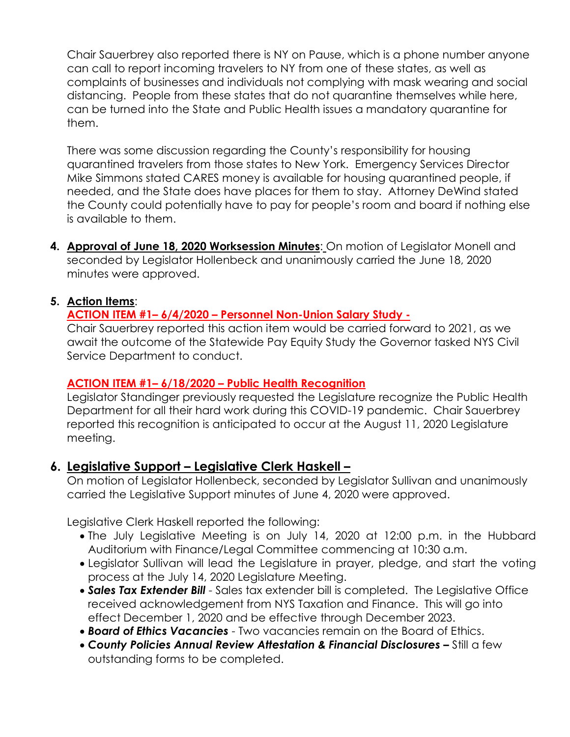Chair Sauerbrey also reported there is NY on Pause, which is a phone number anyone can call to report incoming travelers to NY from one of these states, as well as complaints of businesses and individuals not complying with mask wearing and social distancing. People from these states that do not quarantine themselves while here, can be turned into the State and Public Health issues a mandatory quarantine for them.

There was some discussion regarding the County's responsibility for housing quarantined travelers from those states to New York. Emergency Services Director Mike Simmons stated CARES money is available for housing quarantined people, if needed, and the State does have places for them to stay. Attorney DeWind stated the County could potentially have to pay for people's room and board if nothing else is available to them.

**4. Approval of June 18, 2020 Worksession Minutes**: On motion of Legislator Monell and seconded by Legislator Hollenbeck and unanimously carried the June 18, 2020 minutes were approved.

#### **5. Action Items**:

#### **ACTION ITEM #1– 6/4/2020 – Personnel Non-Union Salary Study -**

Chair Sauerbrey reported this action item would be carried forward to 2021, as we await the outcome of the Statewide Pay Equity Study the Governor tasked NYS Civil Service Department to conduct.

#### **ACTION ITEM #1– 6/18/2020 – Public Health Recognition**

Legislator Standinger previously requested the Legislature recognize the Public Health Department for all their hard work during this COVID-19 pandemic. Chair Sauerbrey reported this recognition is anticipated to occur at the August 11, 2020 Legislature meeting.

### **6. Legislative Support – Legislative Clerk Haskell –**

On motion of Legislator Hollenbeck, seconded by Legislator Sullivan and unanimously carried the Legislative Support minutes of June 4, 2020 were approved.

Legislative Clerk Haskell reported the following:

- The July Legislative Meeting is on July 14, 2020 at 12:00 p.m. in the Hubbard Auditorium with Finance/Legal Committee commencing at 10:30 a.m.
- Legislator Sullivan will lead the Legislature in prayer, pledge, and start the voting process at the July 14, 2020 Legislature Meeting.
- **Sales Tax Extender Bill** Sales tax extender bill is completed. The Legislative Office received acknowledgement from NYS Taxation and Finance. This will go into effect December 1, 2020 and be effective through December 2023.
- *Board of Ethics Vacancies*  Two vacancies remain on the Board of Ethics.
- *County Policies Annual Review Attestation & Financial Disclosures –* Still a few outstanding forms to be completed.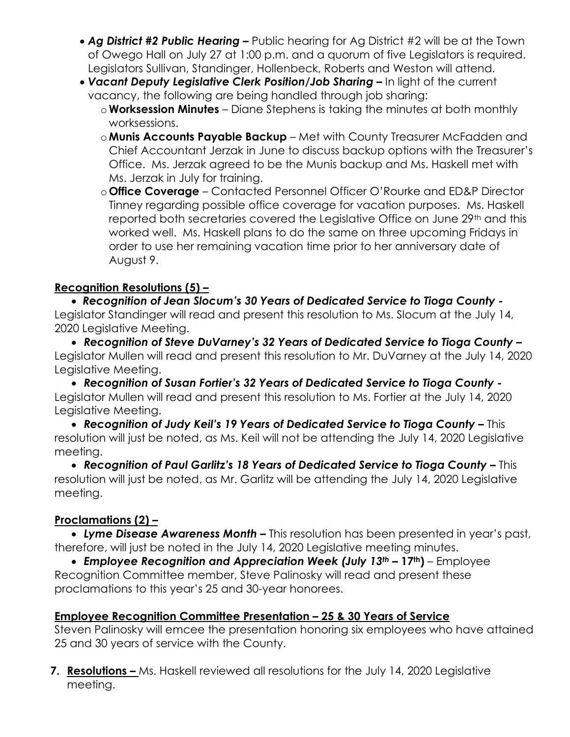- *Ag District #2 Public Hearing –* Public hearing for Ag District #2 will be at the Town of Owego Hall on July 27 at 1:00 p.m. and a quorum of five Legislators is required. Legislators Sullivan, Standinger, Hollenbeck, Roberts and Weston will attend.
- Vacant Deputy Legislative Clerk Position/Job Sharing In light of the current vacancy, the following are being handled through job sharing:
	- o**Worksession Minutes** Diane Stephens is taking the minutes at both monthly worksessions.
	- o**Munis Accounts Payable Backup** Met with County Treasurer McFadden and Chief Accountant Jerzak in June to discuss backup options with the Treasurer's Office. Ms. Jerzak agreed to be the Munis backup and Ms. Haskell met with Ms. Jerzak in July for training.
	- o **Office Coverage** Contacted Personnel Officer O'Rourke and ED&P Director Tinney regarding possible office coverage for vacation purposes. Ms. Haskell reported both secretaries covered the Legislative Office on June 29<sup>th</sup> and this worked well. Ms. Haskell plans to do the same on three upcoming Fridays in order to use her remaining vacation time prior to her anniversary date of August 9.

# **Recognition Resolutions (5) –**

 *Recognition of Jean Slocum's 30 Years of Dedicated Service to Tioga County -* Legislator Standinger will read and present this resolution to Ms. Slocum at the July 14, 2020 Legislative Meeting.

 *Recognition of Steve DuVarney's 32 Years of Dedicated Service to Tioga County –* Legislator Mullen will read and present this resolution to Mr. DuVarney at the July 14, 2020 Legislative Meeting.

 *Recognition of Susan Fortier's 32 Years of Dedicated Service to Tioga County -* Legislator Mullen will read and present this resolution to Ms. Fortier at the July 14, 2020 Legislative Meeting.

 *Recognition of Judy Keil's 19 Years of Dedicated Service to Tioga County –* This resolution will just be noted, as Ms. Keil will not be attending the July 14, 2020 Legislative meeting.

 *Recognition of Paul Garlitz's 18 Years of Dedicated Service to Tioga County –* This resolution will just be noted, as Mr. Garlitz will be attending the July 14, 2020 Legislative meeting.

### **Proclamations (2) –**

 *Lyme Disease Awareness Month –* This resolution has been presented in year's past, therefore, will just be noted in the July 14, 2020 Legislative meeting minutes.

 *Employee Recognition and Appreciation Week (July 13th –* **17th)** – Employee Recognition Committee member, Steve Palinosky will read and present these proclamations to this year's 25 and 30-year honorees.

# **Employee Recognition Committee Presentation – 25 & 30 Years of Service**

Steven Palinosky will emcee the presentation honoring six employees who have attained 25 and 30 years of service with the County.

**7. Resolutions –** Ms. Haskell reviewed all resolutions for the July 14, 2020 Legislative meeting.